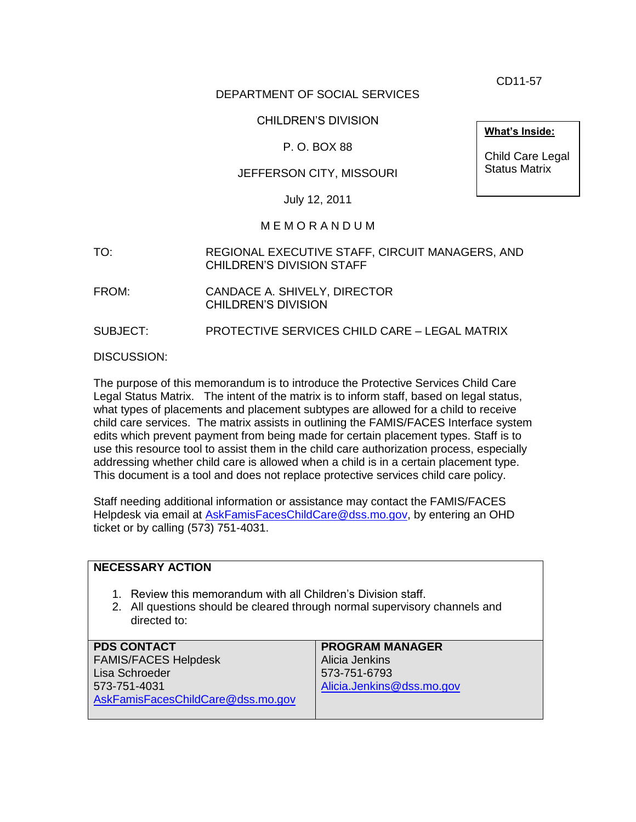CD11-57

# DEPARTMENT OF SOCIAL SERVICES

# CHILDREN'S DIVISION

# P. O. BOX 88

# JEFFERSON CITY, MISSOURI

July 12, 2011

#### M E M O R A N D U M

- TO: REGIONAL EXECUTIVE STAFF, CIRCUIT MANAGERS, AND CHILDREN'S DIVISION STAFF
- FROM: CANDACE A. SHIVELY, DIRECTOR CHILDREN'S DIVISION

SUBJECT: PROTECTIVE SERVICES CHILD CARE – LEGAL MATRIX

DISCUSSION:

The purpose of this memorandum is to introduce the Protective Services Child Care Legal Status Matrix. The intent of the matrix is to inform staff, based on legal status, what types of placements and placement subtypes are allowed for a child to receive child care services. The matrix assists in outlining the FAMIS/FACES Interface system edits which prevent payment from being made for certain placement types. Staff is to use this resource tool to assist them in the child care authorization process, especially addressing whether child care is allowed when a child is in a certain placement type. This document is a tool and does not replace protective services child care policy.

Staff needing additional information or assistance may contact the FAMIS/FACES Helpdesk via email at [AskFamisFacesChildCare@dss.mo.gov,](mailto:AskFamisFacesChildCare@dss.mo.gov) by entering an OHD ticket or by calling (573) 751-4031.

| <b>NECESSARY ACTION</b>                                                                                                                                     |                           |
|-------------------------------------------------------------------------------------------------------------------------------------------------------------|---------------------------|
| 1. Review this memorandum with all Children's Division staff.<br>2. All questions should be cleared through normal supervisory channels and<br>directed to: |                           |
| <b>PDS CONTACT</b>                                                                                                                                          | <b>PROGRAM MANAGER</b>    |
| <b>FAMIS/FACES Helpdesk</b>                                                                                                                                 | Alicia Jenkins            |
| Lisa Schroeder                                                                                                                                              | 573-751-6793              |
| 573-751-4031                                                                                                                                                | Alicia.Jenkins@dss.mo.gov |
| AskFamisFacesChildCare@dss.mo.gov                                                                                                                           |                           |
|                                                                                                                                                             |                           |

**What's Inside:**

Child Care Legal Status Matrix